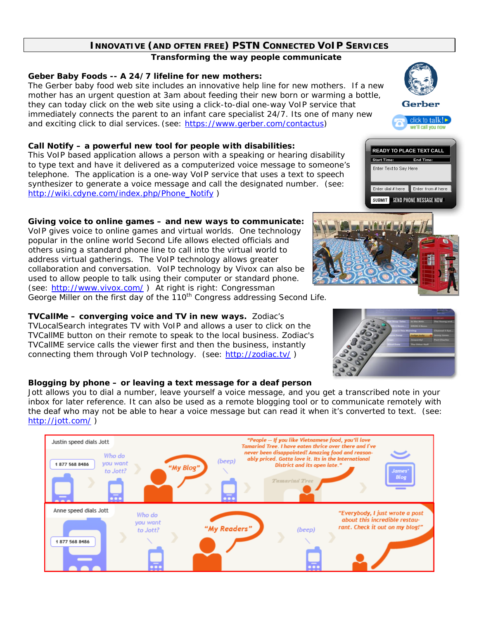# **INNOVATIVE (AND OFTEN FREE) PSTN CONNECTED VOIP SERVICES**

*Transforming the way people communicate* 

### **Geber Baby Foods -- A 24/7 lifeline for new mothers:**

The Gerber baby food web site includes an innovative help line for new mothers. If a new mother has an urgent question at 3am about feeding their new born or warming a bottle, they can today click on the web site using a click-to-dial one-way VoIP service that immediately connects the parent to an infant care specialist 24/7. Its one of many new and exciting click to dial services. (see: https://www.gerber.com/contactus)

## **Call Notify – a powerful new tool for people with disabilities:**

This VoIP based application allows a person with a speaking or hearing disability to type text and have it delivered as a computerized voice message to someone's telephone. The application is a one-way VoIP service that uses a text to speech synthesizer to generate a voice message and call the designated number. (see: http://wiki.cdyne.com/index.php/Phone\_Notify )

# **Giving voice to online games – and new ways to communicate:**

VoIP gives voice to online games and virtual worlds. One technology popular in the online world *Second Life* allows elected officials and others using a standard phone line to call into the virtual world to address virtual gatherings. The VoIP technology allows greater collaboration and conversation. VoIP technology by Vivox can also be used to allow people to talk using their computer or standard phone. (see: http://www.vivox.com/) At right is right: Congressman George Miller on the first day of the 110<sup>th</sup> Congress addressing *Second Life*.

#### **TVCallMe – converging voice and TV in new ways.** Zodiac's TVLocalSearch integrates TV with VoIP and allows a user to click on the TVCallME button on their remote to speak to the local business. Zodiac's TVCallME service calls the viewer first and then the business, instantly connecting them through VoIP technology. (see: http://zodiac.tv/ )

## **Blogging by phone – or leaving a text message for a deaf person**

Jott allows you to dial a number, leave yourself a voice message, and you get a transcribed note in your inbox for later reference. It can also be used as a remote blogging tool or to communicate remotely with the deaf who may not be able to hear a voice message but can read it when it's converted to text. (see: http://jott.com/ )





End Time

Enter dial # here Enter from # here SUBMIT SEND PHONE MESSAGE NOW



Start Time:

Enter Text to Say Here